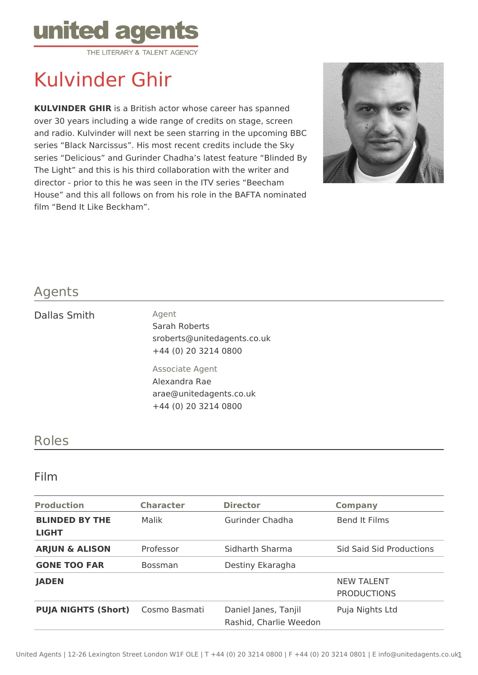

# Kulvinder Ghir

**KULVINDER GHIR** is a British actor whose career has spanned over 30 years including a wide range of credits on stage, screen and radio. Kulvinder will next be seen starring in the upcoming BBC series "Black Narcissus". His most recent credits include the Sky series "Delicious" and Gurinder Chadha's latest feature "Blinded By The Light" and this is his third collaboration with the writer and director - prior to this he was seen in the ITV series "Beecham House" and this all follows on from his role in the BAFTA nominated film "Bend It Like Beckham".



### Agents

#### Dallas Smith Agent

Sarah Roberts sroberts@unitedagents.co.uk +44 (0) 20 3214 0800

Associate Agent Alexandra Rae arae@unitedagents.co.uk +44 (0) 20 3214 0800

## Roles

#### Film

| <b>Production</b>                     | <b>Character</b> | <b>Director</b>                                | <b>Company</b>                          |
|---------------------------------------|------------------|------------------------------------------------|-----------------------------------------|
| <b>BLINDED BY THE</b><br><b>LIGHT</b> | Malik            | Gurinder Chadha                                | Bend It Films                           |
| <b>ARJUN &amp; ALISON</b>             | Professor        | Sidharth Sharma                                | <b>Sid Said Sid Productions</b>         |
| <b>GONE TOO FAR</b>                   | <b>Bossman</b>   | Destiny Ekaragha                               |                                         |
| <b>JADEN</b>                          |                  |                                                | <b>NEW TALENT</b><br><b>PRODUCTIONS</b> |
| <b>PUJA NIGHTS (Short)</b>            | Cosmo Basmati    | Daniel Janes, Tanjil<br>Rashid, Charlie Weedon | Puja Nights Ltd                         |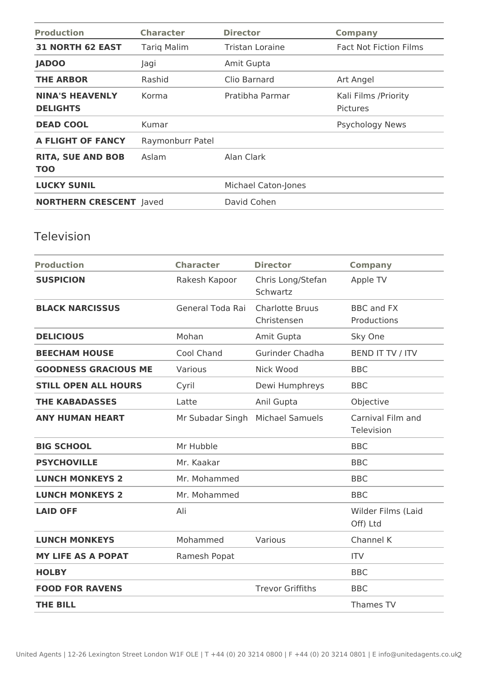| <b>Production</b>                         | <b>Character</b>   | <b>Director</b>            | <b>Company</b>                           |
|-------------------------------------------|--------------------|----------------------------|------------------------------------------|
| <b>31 NORTH 62 EAST</b>                   | <b>Tarig Malim</b> | Tristan Loraine            | <b>Fact Not Fiction Films</b>            |
| <b>JADOO</b>                              | Jagi               | Amit Gupta                 |                                          |
| <b>THE ARBOR</b>                          | Rashid             | Clio Barnard               | Art Angel                                |
| <b>NINA'S HEAVENLY</b><br><b>DELIGHTS</b> | Korma              | Pratibha Parmar            | Kali Films / Priority<br><b>Pictures</b> |
| <b>DEAD COOL</b>                          | Kumar              |                            | <b>Psychology News</b>                   |
| A FLIGHT OF FANCY                         | Raymonburr Patel   |                            |                                          |
| <b>RITA, SUE AND BOB</b><br><b>TOO</b>    | Aslam              | Alan Clark                 |                                          |
| <b>LUCKY SUNIL</b>                        |                    | <b>Michael Caton-Jones</b> |                                          |
| <b>NORTHERN CRESCENT Javed</b>            |                    | David Cohen                |                                          |

# Television

| <b>Production</b>           | <b>Character</b> | <b>Director</b>                       | <b>Company</b>                   |
|-----------------------------|------------------|---------------------------------------|----------------------------------|
| <b>SUSPICION</b>            | Rakesh Kapoor    | Chris Long/Stefan<br>Schwartz         | Apple TV                         |
| <b>BLACK NARCISSUS</b>      | General Toda Rai | <b>Charlotte Bruus</b><br>Christensen | <b>BBC</b> and FX<br>Productions |
| <b>DELICIOUS</b>            | Mohan            | Amit Gupta                            | Sky One                          |
| <b>BEECHAM HOUSE</b>        | Cool Chand       | Gurinder Chadha                       | BEND IT TV / ITV                 |
| <b>GOODNESS GRACIOUS ME</b> | Various          | Nick Wood                             | <b>BBC</b>                       |
| <b>STILL OPEN ALL HOURS</b> | Cyril            | Dewi Humphreys                        | <b>BBC</b>                       |
| <b>THE KABADASSES</b>       | Latte            | Anil Gupta                            | Objective                        |
| <b>ANY HUMAN HEART</b>      | Mr Subadar Singh | <b>Michael Samuels</b>                | Carnival Film and<br>Television  |
| <b>BIG SCHOOL</b>           | Mr Hubble        |                                       | <b>BBC</b>                       |
| <b>PSYCHOVILLE</b>          | Mr. Kaakar       |                                       | <b>BBC</b>                       |
| <b>LUNCH MONKEYS 2</b>      | Mr. Mohammed     |                                       | <b>BBC</b>                       |
| <b>LUNCH MONKEYS 2</b>      | Mr. Mohammed     |                                       | <b>BBC</b>                       |
| <b>LAID OFF</b>             | Ali              |                                       | Wilder Films (Laid<br>Off) Ltd   |
| <b>LUNCH MONKEYS</b>        | Mohammed         | Various                               | Channel K                        |
| <b>MY LIFE AS A POPAT</b>   | Ramesh Popat     |                                       | <b>ITV</b>                       |
| <b>HOLBY</b>                |                  |                                       | <b>BBC</b>                       |
| <b>FOOD FOR RAVENS</b>      |                  | <b>Trevor Griffiths</b>               | <b>BBC</b>                       |
| <b>THE BILL</b>             |                  |                                       | Thames TV                        |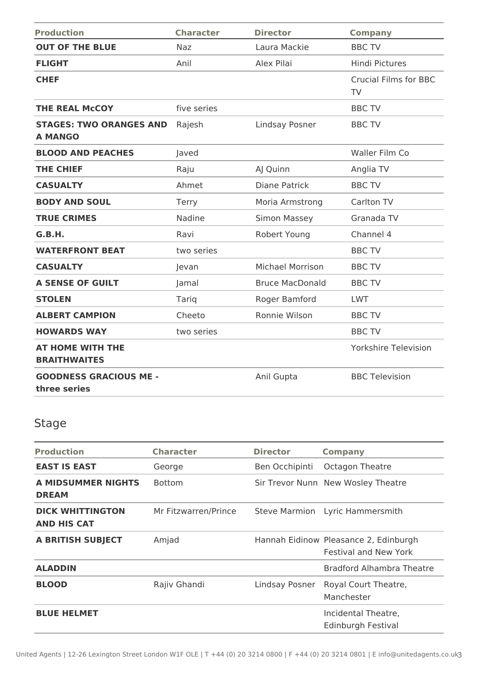| <b>Production</b>                                | <b>Character</b> | <b>Director</b>         | <b>Company</b>                            |
|--------------------------------------------------|------------------|-------------------------|-------------------------------------------|
| <b>OUT OF THE BLUE</b>                           | Naz              | Laura Mackie            | <b>BBC TV</b>                             |
| <b>FLIGHT</b>                                    | Anil             | Alex Pilai              | <b>Hindi Pictures</b>                     |
| <b>CHEF</b>                                      |                  |                         | <b>Crucial Films for BBC</b><br><b>TV</b> |
| <b>THE REAL McCOY</b>                            | five series      |                         | <b>BBC TV</b>                             |
| <b>STAGES: TWO ORANGES AND</b><br><b>A MANGO</b> | Rajesh           | Lindsay Posner          | <b>BBC TV</b>                             |
| <b>BLOOD AND PEACHES</b>                         | Javed            |                         | Waller Film Co                            |
| <b>THE CHIEF</b>                                 | Raju             | AJ Quinn                | Anglia TV                                 |
| <b>CASUALTY</b>                                  | Ahmet            | <b>Diane Patrick</b>    | <b>BBC TV</b>                             |
| <b>BODY AND SOUL</b>                             | Terry            | Moria Armstrong         | Carlton TV                                |
| <b>TRUE CRIMES</b>                               | Nadine           | Simon Massey            | Granada TV                                |
| G.B.H.                                           | Ravi             | Robert Young            | Channel 4                                 |
| <b>WATERFRONT BEAT</b>                           | two series       |                         | <b>BBC TV</b>                             |
| <b>CASUALTY</b>                                  | Jevan            | <b>Michael Morrison</b> | <b>BBC TV</b>                             |
| <b>A SENSE OF GUILT</b>                          | Jamal            | <b>Bruce MacDonald</b>  | <b>BBC TV</b>                             |
| <b>STOLEN</b>                                    | Tariq            | Roger Bamford           | <b>LWT</b>                                |
| <b>ALBERT CAMPION</b>                            | Cheeto           | Ronnie Wilson           | <b>BBC TV</b>                             |
| <b>HOWARDS WAY</b>                               | two series       |                         | <b>BBC TV</b>                             |
| <b>AT HOME WITH THE</b><br><b>BRAITHWAITES</b>   |                  |                         | <b>Yorkshire Television</b>               |
| <b>GOODNESS GRACIOUS ME -</b><br>three series    |                  | Anil Gupta              | <b>BBC Television</b>                     |

# Stage

| <b>Production</b>                             | <b>Character</b>     | <b>Director</b> | <b>Company</b>                                                        |
|-----------------------------------------------|----------------------|-----------------|-----------------------------------------------------------------------|
| <b>EAST IS EAST</b>                           | George               | Ben Occhipinti  | Octagon Theatre                                                       |
| <b>A MIDSUMMER NIGHTS</b><br><b>DREAM</b>     | <b>Bottom</b>        |                 | Sir Trevor Nunn New Wosley Theatre                                    |
| <b>DICK WHITTINGTON</b><br><b>AND HIS CAT</b> | Mr Fitzwarren/Prince |                 | Steve Marmion Lyric Hammersmith                                       |
| <b>A BRITISH SUBJECT</b>                      | Amjad                |                 | Hannah Eidinow Pleasance 2, Edinburgh<br><b>Festival and New York</b> |
| <b>ALADDIN</b>                                |                      |                 | Bradford Alhambra Theatre                                             |
| <b>BLOOD</b>                                  | Rajiv Ghandi         | Lindsay Posner  | Royal Court Theatre,<br>Manchester                                    |
| <b>BLUE HELMET</b>                            |                      |                 | Incidental Theatre,<br>Edinburgh Festival                             |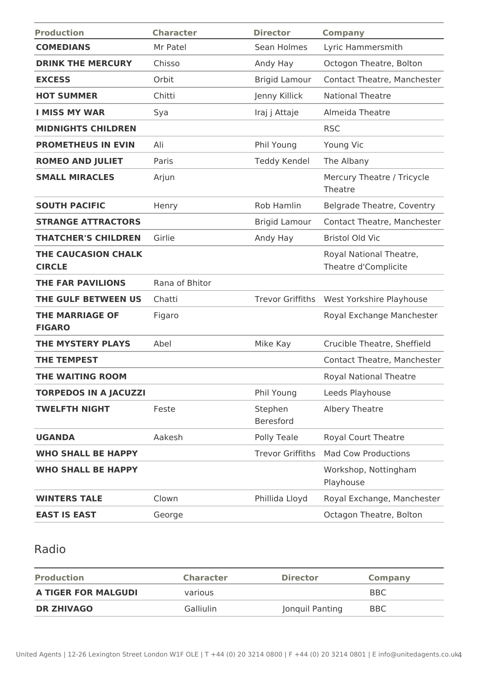| <b>Production</b>                           | <b>Character</b> | <b>Director</b>             | <b>Company</b>                                  |
|---------------------------------------------|------------------|-----------------------------|-------------------------------------------------|
| <b>COMEDIANS</b>                            | Mr Patel         | Sean Holmes                 | Lyric Hammersmith                               |
| <b>DRINK THE MERCURY</b>                    | Chisso           | Andy Hay                    | Octogon Theatre, Bolton                         |
| <b>EXCESS</b>                               | Orbit            | <b>Brigid Lamour</b>        | <b>Contact Theatre, Manchester</b>              |
| <b>HOT SUMMER</b>                           | Chitti           | Jenny Killick               | <b>National Theatre</b>                         |
| <b>I MISS MY WAR</b>                        | Sya              | Iraj j Attaje               | Almeida Theatre                                 |
| <b>MIDNIGHTS CHILDREN</b>                   |                  |                             | <b>RSC</b>                                      |
| <b>PROMETHEUS IN EVIN</b>                   | Ali              | Phil Young                  | Young Vic                                       |
| <b>ROMEO AND JULIET</b>                     | Paris            | <b>Teddy Kendel</b>         | The Albany                                      |
| <b>SMALL MIRACLES</b>                       | Arjun            |                             | Mercury Theatre / Tricycle<br>Theatre           |
| <b>SOUTH PACIFIC</b>                        | Henry            | <b>Rob Hamlin</b>           | <b>Belgrade Theatre, Coventry</b>               |
| <b>STRANGE ATTRACTORS</b>                   |                  | <b>Brigid Lamour</b>        | Contact Theatre, Manchester                     |
| <b>THATCHER'S CHILDREN</b>                  | Girlie           | Andy Hay                    | <b>Bristol Old Vic</b>                          |
| <b>THE CAUCASION CHALK</b><br><b>CIRCLE</b> |                  |                             | Royal National Theatre,<br>Theatre d'Complicite |
| <b>THE FAR PAVILIONS</b>                    | Rana of Bhitor   |                             |                                                 |
| <b>THE GULF BETWEEN US</b>                  | Chatti           | <b>Trevor Griffiths</b>     | West Yorkshire Playhouse                        |
| <b>THE MARRIAGE OF</b><br><b>FIGARO</b>     | Figaro           |                             | Royal Exchange Manchester                       |
| <b>THE MYSTERY PLAYS</b>                    | Abel             | Mike Kay                    | Crucible Theatre, Sheffield                     |
| <b>THE TEMPEST</b>                          |                  |                             | Contact Theatre, Manchester                     |
| <b>THE WAITING ROOM</b>                     |                  |                             | <b>Royal National Theatre</b>                   |
| <b>TORPEDOS IN A JACUZZI</b>                |                  | Phil Young                  | Leeds Playhouse                                 |
| <b>TWELFTH NIGHT</b>                        | Feste            | Stephen<br><b>Beresford</b> | Albery Theatre                                  |
| <b>UGANDA</b>                               | Aakesh           | Polly Teale                 | Royal Court Theatre                             |
| <b>WHO SHALL BE HAPPY</b>                   |                  | <b>Trevor Griffiths</b>     | <b>Mad Cow Productions</b>                      |
| <b>WHO SHALL BE HAPPY</b>                   |                  |                             | Workshop, Nottingham<br>Playhouse               |
| <b>WINTERS TALE</b>                         | Clown            | Phillida Lloyd              | Royal Exchange, Manchester                      |
| <b>EAST IS EAST</b>                         | George           |                             | Octagon Theatre, Bolton                         |
|                                             |                  |                             |                                                 |

# Radio

| <b>Production</b>          | <b>Character</b> | <b>Director</b> | Company    |
|----------------------------|------------------|-----------------|------------|
| <b>A TIGER FOR MALGUDI</b> | various          |                 | <b>BBC</b> |
| <b>DR ZHIVAGO</b>          | <b>Galliulin</b> | Jonquil Panting | <b>BBC</b> |